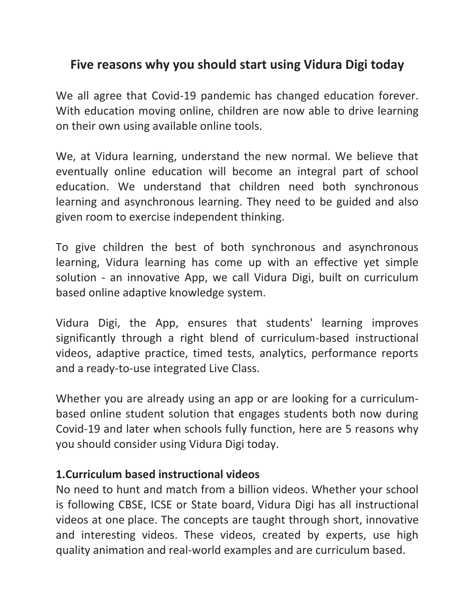# **Five reasons why you should start using Vidura Digi today**

We all agree that Covid-19 pandemic has changed education forever. With education moving online, children are now able to drive learning on their own using available online tools.

We, at Vidura learning, understand the new normal. We believe that eventually online education will become an integral part of school education. We understand that children need both synchronous learning and asynchronous learning. They need to be guided and also given room to exercise independent thinking.

To give children the best of both synchronous and asynchronous learning, Vidura learning has come up with an effective yet simple solution - an innovative App, we call Vidura Digi, built on curriculum based online adaptive knowledge system.

Vidura Digi, the App, ensures that students' learning improves significantly through a right blend of curriculum-based instructional videos, adaptive practice, timed tests, analytics, performance reports and a ready-to-use integrated Live Class.

Whether you are already using an app or are looking for a curriculumbased online student solution that engages students both now during Covid-19 and later when schools fully function, here are 5 reasons why you should consider using Vidura Digi today.

#### **1.Curriculum based instructional videos**

No need to hunt and match from a billion videos. Whether your school is following CBSE, ICSE or State board, Vidura Digi has all instructional videos at one place. The concepts are taught through short, innovative and interesting videos. These videos, created by experts, use high quality animation and real-world examples and are curriculum based.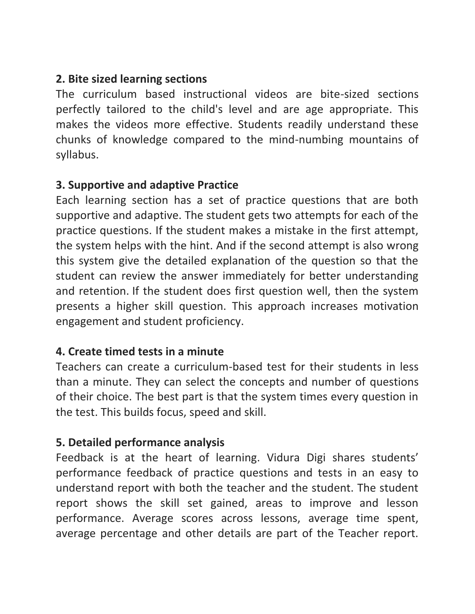## **2. Bite sized learning sections**

The curriculum based instructional videos are bite-sized sections perfectly tailored to the child's level and are age appropriate. This makes the videos more effective. Students readily understand these chunks of knowledge compared to the mind-numbing mountains of syllabus.

#### **3. Supportive and adaptive Practice**

Each learning section has a set of practice questions that are both supportive and adaptive. The student gets two attempts for each of the practice questions. If the student makes a mistake in the first attempt, the system helps with the hint. And if the second attempt is also wrong this system give the detailed explanation of the question so that the student can review the answer immediately for better understanding and retention. If the student does first question well, then the system presents a higher skill question. This approach increases motivation engagement and student proficiency.

## **4. Create timed tests in a minute**

Teachers can create a curriculum-based test for their students in less than a minute. They can select the concepts and number of questions of their choice. The best part is that the system times every question in the test. This builds focus, speed and skill.

#### **5. Detailed performance analysis**

Feedback is at the heart of learning. Vidura Digi shares students' performance feedback of practice questions and tests in an easy to understand report with both the teacher and the student. The student report shows the skill set gained, areas to improve and lesson performance. Average scores across lessons, average time spent, average percentage and other details are part of the Teacher report.